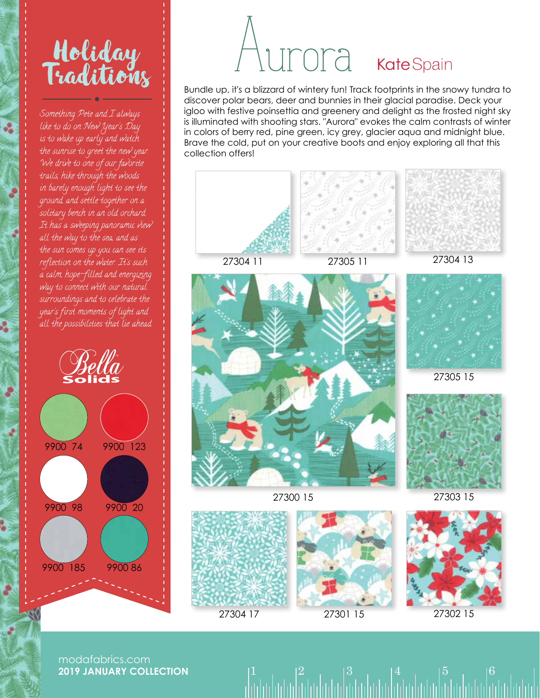## Holiday Traditions

Something Pete and I always like to do on New Year's Day is to wake up early and watch the sunrise to greet the new year. We drive to one of our favorite trails, hike through the woods in barely enough light to see the ground, and settle together on a solitary bench in an old orchard. It has a sweeping panoramic view all the way to the sea, and as the sun comes up you can see its reflection on the water. It's such a calm, hope-filled and energizing way to connect with our natural surroundings and to celebrate the year's first moments of light and all the possibilities that lie ahead.



## Ora KateSpain

Bundle up, it's a blizzard of wintery fun! Track footprints in the snowy tundra to discover polar bears, deer and bunnies in their glacial paradise. Deck your igloo with festive poinsettia and greenery and delight as the frosted night sky is illuminated with shooting stars. "Aurora" evokes the calm contrasts of winter in colors of berry red, pine green, icy grey, glacier aqua and midnight blue. Brave the cold, put on your creative boots and enjoy exploring all that this collection offers!



 $1 \t| 2 \t| 3 \t| 4 \t| 5 \t| 6$ 

27304 17 27301 15 27302 15

modafabrics.com **2019 JANUARY COLLECTION**